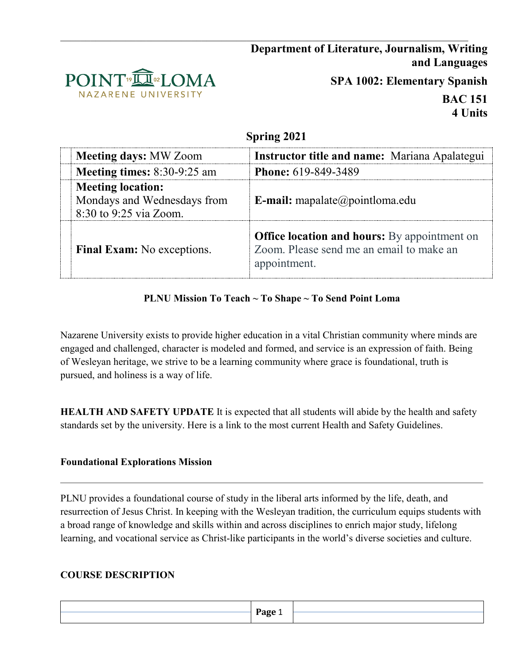# **Department of Literature, Journalism, Writing and Languages**



**SPA 1002: Elementary Spanish**

**BAC 151 4 Units**

## **Spring 2021**

| <b>Meeting days: MW Zoom</b>                                                      | <b>Instructor title and name:</b> Mariana Apalategui                                                            |  |
|-----------------------------------------------------------------------------------|-----------------------------------------------------------------------------------------------------------------|--|
| Meeting times: 8:30-9:25 am                                                       | <b>Phone: 619-849-3489</b>                                                                                      |  |
| <b>Meeting location:</b><br>Mondays and Wednesdays from<br>8:30 to 9:25 via Zoom. | <b>E-mail:</b> mapalate@pointloma.edu                                                                           |  |
| Final Exam: No exceptions.                                                        | <b>Office location and hours:</b> By appointment on<br>Zoom. Please send me an email to make an<br>appointment. |  |

## **PLNU Mission To Teach ~ To Shape ~ To Send Point Loma**

Nazarene University exists to provide higher education in a vital Christian community where minds are engaged and challenged, character is modeled and formed, and service is an expression of faith. Being of Wesleyan heritage, we strive to be a learning community where grace is foundational, truth is pursued, and holiness is a way of life.

**HEALTH AND SAFETY UPDATE** It is expected that all students will abide by the health and safety standards set by the university. Here is a link to the most current Health and Safety Guidelines.

#### **Foundational Explorations Mission**

PLNU provides a foundational course of study in the liberal arts informed by the life, death, and resurrection of Jesus Christ. In keeping with the Wesleyan tradition, the curriculum equips students with a broad range of knowledge and skills within and across disciplines to enrich major study, lifelong learning, and vocational service as Christ-like participants in the world's diverse societies and culture.

## **COURSE DESCRIPTION**

|  | $P$ age<br>$\overline{\phantom{0}}$<br>$\overline{\phantom{a}}$ |  |
|--|-----------------------------------------------------------------|--|
|  |                                                                 |  |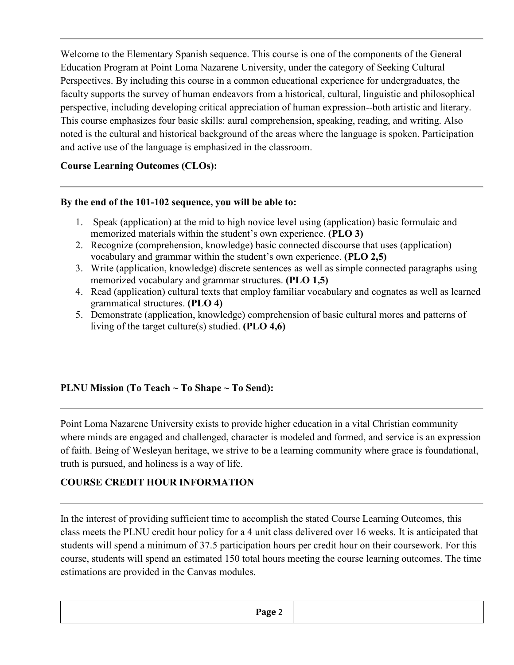Welcome to the Elementary Spanish sequence. This course is one of the components of the General Education Program at Point Loma Nazarene University, under the category of Seeking Cultural Perspectives. By including this course in a common educational experience for undergraduates, the faculty supports the survey of human endeavors from a historical, cultural, linguistic and philosophical perspective, including developing critical appreciation of human expression--both artistic and literary. This course emphasizes four basic skills: aural comprehension, speaking, reading, and writing. Also noted is the cultural and historical background of the areas where the language is spoken. Participation and active use of the language is emphasized in the classroom.

## **Course Learning Outcomes (CLOs):**

#### **By the end of the 101-102 sequence, you will be able to:**

- 1. Speak (application) at the mid to high novice level using (application) basic formulaic and memorized materials within the student's own experience. **(PLO 3)**
- 2. Recognize (comprehension, knowledge) basic connected discourse that uses (application) vocabulary and grammar within the student's own experience. **(PLO 2,5)**
- 3. Write (application, knowledge) discrete sentences as well as simple connected paragraphs using memorized vocabulary and grammar structures. **(PLO 1,5)**
- 4. Read (application) cultural texts that employ familiar vocabulary and cognates as well as learned grammatical structures. **(PLO 4)**
- 5. Demonstrate (application, knowledge) comprehension of basic cultural mores and patterns of living of the target culture(s) studied. **(PLO 4,6)**

#### **PLNU Mission (To Teach ~ To Shape ~ To Send):**

Point Loma Nazarene University exists to provide higher education in a vital Christian community where minds are engaged and challenged, character is modeled and formed, and service is an expression of faith. Being of Wesleyan heritage, we strive to be a learning community where grace is foundational, truth is pursued, and holiness is a way of life.

#### **COURSE CREDIT HOUR INFORMATION**

In the interest of providing sufficient time to accomplish the stated Course Learning Outcomes, this class meets the PLNU credit hour policy for a 4 unit class delivered over 16 weeks. It is anticipated that students will spend a minimum of 37.5 participation hours per credit hour on their coursework. For this course, students will spend an estimated 150 total hours meeting the course learning outcomes. The time estimations are provided in the Canvas modules.

|  | $P$ age<br>$\overline{\phantom{a}}$<br>$\sim$ $\sim$ |  |
|--|------------------------------------------------------|--|
|  |                                                      |  |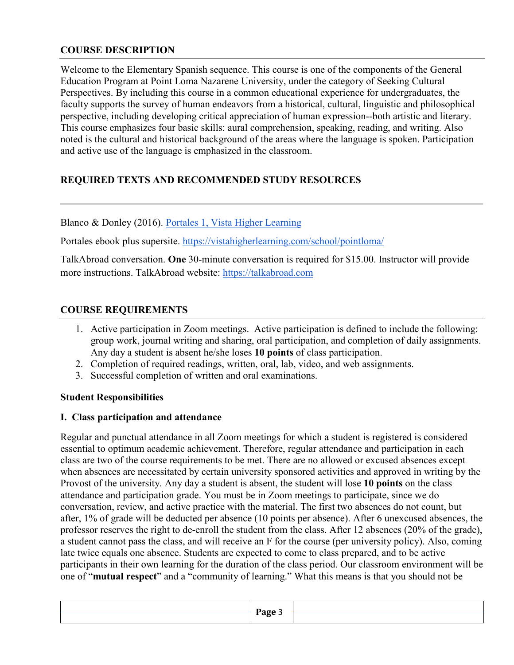### **COURSE DESCRIPTION**

Welcome to the Elementary Spanish sequence. This course is one of the components of the General Education Program at Point Loma Nazarene University, under the category of Seeking Cultural Perspectives. By including this course in a common educational experience for undergraduates, the faculty supports the survey of human endeavors from a historical, cultural, linguistic and philosophical perspective, including developing critical appreciation of human expression--both artistic and literary. This course emphasizes four basic skills: aural comprehension, speaking, reading, and writing. Also noted is the cultural and historical background of the areas where the language is spoken. Participation and active use of the language is emphasized in the classroom.

# **REQUIRED TEXTS AND RECOMMENDED STUDY RESOURCES**

Blanco & Donley (2016). [Portales 1, Vista Higher Learning](https://www.vhlcentral.com/) 

Portales ebook plus supersite.<https://vistahigherlearning.com/school/pointloma/>

TalkAbroad conversation. **One** 30-minute conversation is required for \$15.00. Instructor will provide more instructions. TalkAbroad website: [https://talkabroad.com](https://talkabroad.com/)

#### **COURSE REQUIREMENTS**

- 1. Active participation in Zoom meetings. Active participation is defined to include the following: group work, journal writing and sharing, oral participation, and completion of daily assignments. Any day a student is absent he/she loses **10 points** of class participation.
- 2. Completion of required readings, written, oral, lab, video, and web assignments.
- 3. Successful completion of written and oral examinations.

#### **Student Responsibilities**

#### **I. Class participation and attendance**

Regular and punctual attendance in all Zoom meetings for which a student is registered is considered essential to optimum academic achievement. Therefore, regular attendance and participation in each class are two of the course requirements to be met. There are no allowed or excused absences except when absences are necessitated by certain university sponsored activities and approved in writing by the Provost of the university. Any day a student is absent, the student will lose **10 points** on the class attendance and participation grade. You must be in Zoom meetings to participate, since we do conversation, review, and active practice with the material. The first two absences do not count, but after, 1% of grade will be deducted per absence (10 points per absence). After 6 unexcused absences, the professor reserves the right to de-enroll the student from the class. After 12 absences (20% of the grade), a student cannot pass the class, and will receive an F for the course (per university policy). Also, coming late twice equals one absence. Students are expected to come to class prepared, and to be active participants in their own learning for the duration of the class period. Our classroom environment will be one of "**mutual respect**" and a "community of learning." What this means is that you should not be

|  | Рэσρ |  |
|--|------|--|
|  |      |  |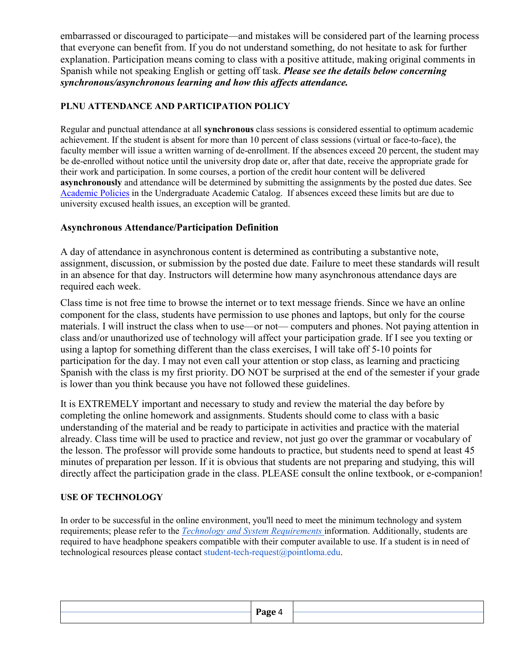embarrassed or discouraged to participate—and mistakes will be considered part of the learning process that everyone can benefit from. If you do not understand something, do not hesitate to ask for further explanation. Participation means coming to class with a positive attitude, making original comments in Spanish while not speaking English or getting off task. *Please see the details below concerning synchronous/asynchronous learning and how this affects attendance.*

### **PLNU ATTENDANCE AND PARTICIPATION POLICY**

Regular and punctual attendance at all **synchronous** class sessions is considered essential to optimum academic achievement. If the student is absent for more than 10 percent of class sessions (virtual or face-to-face), the faculty member will issue a written warning of de-enrollment. If the absences exceed 20 percent, the student may be de-enrolled without notice until the university drop date or, after that date, receive the appropriate grade for their work and participation. In some courses, a portion of the credit hour content will be delivered **asynchronously** and attendance will be determined by submitting the assignments by the posted due dates. Se[e](https://catalog.pointloma.edu/content.php?catoid=46&navoid=2650#Class_Attendance) [Academic Policies](https://catalog.pointloma.edu/content.php?catoid=46&navoid=2650#Class_Attendance) in the Undergraduate Academic Catalog. If absences exceed these limits but are due to university excused health issues, an exception will be granted.

### **Asynchronous Attendance/Participation Definition**

A day of attendance in asynchronous content is determined as contributing a substantive note, assignment, discussion, or submission by the posted due date. Failure to meet these standards will result in an absence for that day. Instructors will determine how many asynchronous attendance days are required each week.

Class time is not free time to browse the internet or to text message friends. Since we have an online component for the class, students have permission to use phones and laptops, but only for the course materials. I will instruct the class when to use—or not— computers and phones. Not paying attention in class and/or unauthorized use of technology will affect your participation grade. If I see you texting or using a laptop for something different than the class exercises, I will take off 5-10 points for participation for the day. I may not even call your attention or stop class, as learning and practicing Spanish with the class is my first priority. DO NOT be surprised at the end of the semester if your grade is lower than you think because you have not followed these guidelines.

It is EXTREMELY important and necessary to study and review the material the day before by completing the online homework and assignments. Students should come to class with a basic understanding of the material and be ready to participate in activities and practice with the material already. Class time will be used to practice and review, not just go over the grammar or vocabulary of the lesson. The professor will provide some handouts to practice, but students need to spend at least 45 minutes of preparation per lesson. If it is obvious that students are not preparing and studying, this will directly affect the participation grade in the class. PLEASE consult the online textbook, or e-companion!

#### **USE OF TECHNOLOGY**

In order to be successful in the online environment, you'll need to meet the minimum technology and system requirements; please refer to the *[Technology and System Requirements](https://help.pointloma.edu/TDClient/1808/Portal/KB/ArticleDet?ID=108349)* information. Additionally, students are required to have headphone speakers compatible with their computer available to use. If a student is in need of technological resources please contact student-tech-request@pointloma.edu.

|  | Page 4<br>- |  |
|--|-------------|--|
|  |             |  |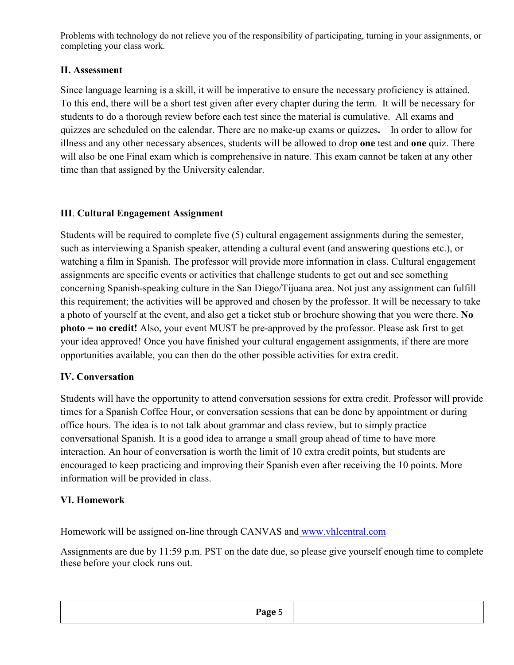Problems with technology do not relieve you of the responsibility of participating, turning in your assignments, or completing your class work.

# **II. Assessment**

Since language learning is a skill, it will be imperative to ensure the necessary proficiency is attained. To this end, there will be a short test given after every chapter during the term. It will be necessary for students to do a thorough review before each test since the material is cumulative. All exams and quizzes are scheduled on the calendar. There are no make-up exams or quizzes**.** In order to allow for illness and any other necessary absences, students will be allowed to drop **one** test and **one** quiz. There will also be one Final exam which is comprehensive in nature. This exam cannot be taken at any other time than that assigned by the University calendar.

# **III**. **Cultural Engagement Assignment**

Students will be required to complete five (5) cultural engagement assignments during the semester, such as interviewing a Spanish speaker, attending a cultural event (and answering questions etc.), or watching a film in Spanish. The professor will provide more information in class. Cultural engagement assignments are specific events or activities that challenge students to get out and see something concerning Spanish-speaking culture in the San Diego/Tijuana area. Not just any assignment can fulfill this requirement; the activities will be approved and chosen by the professor. It will be necessary to take a photo of yourself at the event, and also get a ticket stub or brochure showing that you were there. **No photo = no credit!** Also, your event MUST be pre-approved by the professor. Please ask first to get your idea approved! Once you have finished your cultural engagement assignments, if there are more opportunities available, you can then do the other possible activities for extra credit.

# **IV. Conversation**

Students will have the opportunity to attend conversation sessions for extra credit. Professor will provide times for a Spanish Coffee Hour, or conversation sessions that can be done by appointment or during office hours. The idea is to not talk about grammar and class review, but to simply practice conversational Spanish. It is a good idea to arrange a small group ahead of time to have more interaction. An hour of conversation is worth the limit of 10 extra credit points, but students are encouraged to keep practicing and improving their Spanish even after receiving the 10 points. More information will be provided in class.

## **VI. Homework**

Homework will be assigned on-line through CANVAS and [www.vhlcentral.com](http://www.vhlcentral.com/)

Assignments are due by 11:59 p.m. PST on the date due, so please give yourself enough time to complete these before your clock runs out.

|  | Page 5<br>$-$ - $-$ - $-$ |  |
|--|---------------------------|--|
|  |                           |  |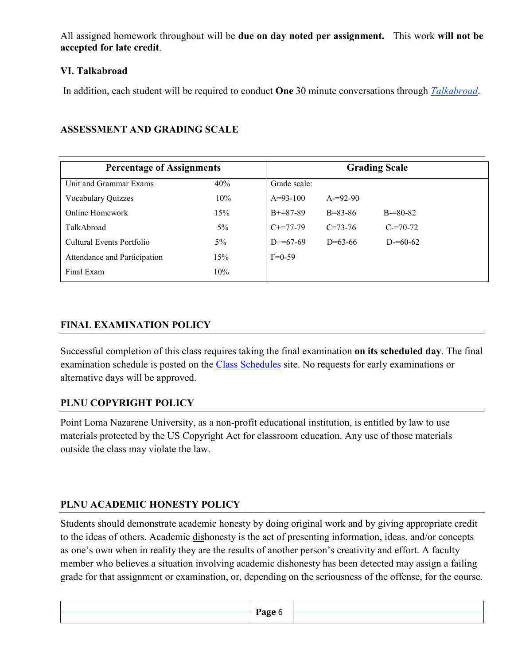All assigned homework throughout will be **due on day noted per assignment.** This work **will not be accepted for late credit**.

### **VI. Talkabroad**

In addition, each student will be required to conduct **One** 30 minute conversations through *[Talkabroad](https://talkabroad.com/)*.

| <b>Percentage of Assignments</b> | <b>Grading Scale</b> |              |               |               |
|----------------------------------|----------------------|--------------|---------------|---------------|
| Unit and Grammar Exams           | 40%                  | Grade scale: |               |               |
| Vocabulary Quizzes               | 10%                  | $A=93-100$   | $A = 92 - 90$ |               |
| Online Homework                  | 15%                  | $B+=87-89$   | $B = 83 - 86$ | $B = 80 - 82$ |
| TalkAbroad                       | $5\%$                | $C+=77-79$   | $C = 73 - 76$ | $C = 70-72$   |
| Cultural Events Portfolio        | $5\%$                | $D+=67-69$   | $D=63-66$     | $D = 60-62$   |
| Attendance and Participation     | 15%                  | $F=0-59$     |               |               |
| Final Exam                       | 10%                  |              |               |               |

## **ASSESSMENT AND GRADING SCALE**

# **FINAL EXAMINATION POLICY**

Successful completion of this class requires taking the final examination **on its scheduled day**. The final examination schedule is posted on the [Class Schedules](http://www.pointloma.edu/experience/academics/class-schedules) site. No requests for early examinations or alternative days will be approved.

## **PLNU COPYRIGHT POLICY**

Point Loma Nazarene University, as a non-profit educational institution, is entitled by law to use materials protected by the US Copyright Act for classroom education. Any use of those materials outside the class may violate the law.

## **PLNU ACADEMIC HONESTY POLICY**

Students should demonstrate academic honesty by doing original work and by giving appropriate credit to the ideas of others. Academic dishonesty is the act of presenting information, ideas, and/or concepts as one's own when in reality they are the results of another person's creativity and effort. A faculty member who believes a situation involving academic dishonesty has been detected may assign a failing grade for that assignment or examination, or, depending on the seriousness of the offense, for the course.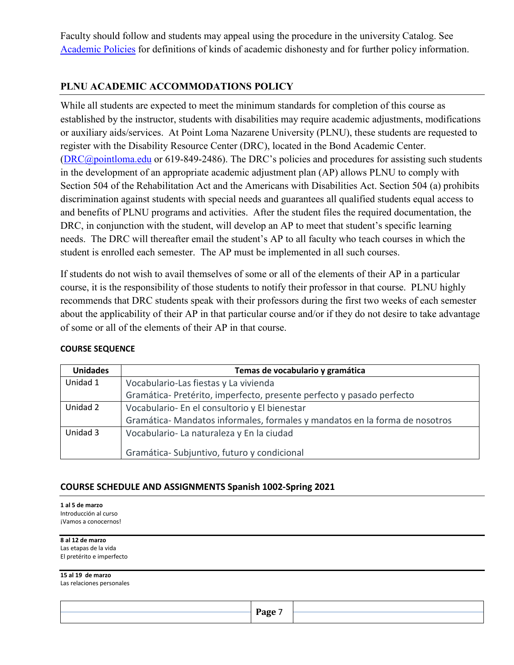Faculty should follow and students may appeal using the procedure in the university Catalog. See [Academic Policies](http://catalog.pointloma.edu/content.php?catoid=18&navoid=1278) for definitions of kinds of academic dishonesty and for further policy information.

### **PLNU ACADEMIC ACCOMMODATIONS POLICY**

While all students are expected to meet the minimum standards for completion of this course as established by the instructor, students with disabilities may require academic adjustments, modifications or auxiliary aids/services. At Point Loma Nazarene University (PLNU), these students are requested to register with the Disability Resource Center (DRC), located in the Bond Academic Center. [\(DRC@pointloma.edu](mailto:DRC@pointloma.edu) or 619-849-2486). The DRC's policies and procedures for assisting such students in the development of an appropriate academic adjustment plan (AP) allows PLNU to comply with Section 504 of the Rehabilitation Act and the Americans with Disabilities Act. Section 504 (a) prohibits discrimination against students with special needs and guarantees all qualified students equal access to and benefits of PLNU programs and activities. After the student files the required documentation, the DRC, in conjunction with the student, will develop an AP to meet that student's specific learning needs. The DRC will thereafter email the student's AP to all faculty who teach courses in which the student is enrolled each semester. The AP must be implemented in all such courses.

If students do not wish to avail themselves of some or all of the elements of their AP in a particular course, it is the responsibility of those students to notify their professor in that course. PLNU highly recommends that DRC students speak with their professors during the first two weeks of each semester about the applicability of their AP in that particular course and/or if they do not desire to take advantage of some or all of the elements of their AP in that course.

| <b>Unidades</b> | Temas de vocabulario y gramática                                            |  |  |
|-----------------|-----------------------------------------------------------------------------|--|--|
| Unidad 1        | Vocabulario-Las fiestas y La vivienda                                       |  |  |
|                 | Gramática- Pretérito, imperfecto, presente perfecto y pasado perfecto       |  |  |
| Unidad 2        | Vocabulario- En el consultorio y El bienestar                               |  |  |
|                 | Gramática- Mandatos informales, formales y mandatos en la forma de nosotros |  |  |
| Unidad 3        | Vocabulario- La naturaleza y En la ciudad                                   |  |  |
|                 | Gramática-Subjuntivo, futuro y condicional                                  |  |  |

#### **COURSE SEQUENCE**

#### **COURSE SCHEDULE AND ASSIGNMENTS Spanish 1002-Spring 2021**

**1 al 5 de marzo** Introducción al curso ¡Vamos a conocernos!

**8 al 12 de marzo** Las etapas de la vida

El pretérito e imperfecto

**15 al 19 de marzo**

Las relaciones personales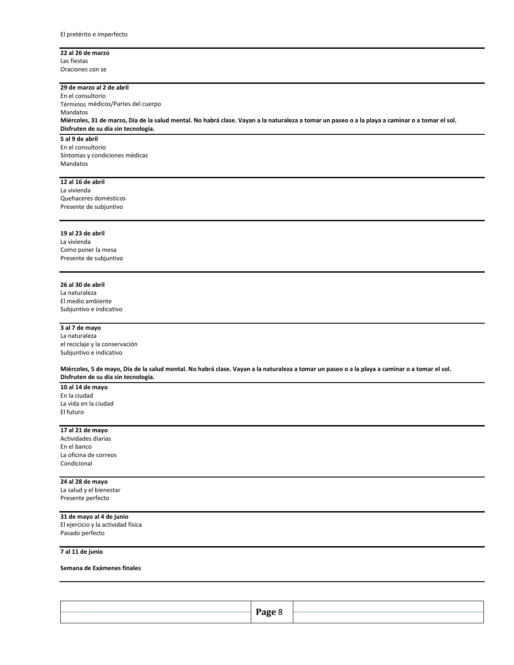#### **22 al 26 de marzo** Las fiestas

Oraciones con se

#### **29 de marzo al 2 de abril**

En el consultorio Términos médicos/Partes del cuerpo Mandatos **Miércoles, 31 de marzo, Día de la salud mental. No habrá clase. Vayan a la naturaleza a tomar un paseo o a la playa a caminar o a tomar el sol. Disfruten de su día sin tecnología.** 

**5 al 9 de abril** En el consultorio Síntomas y condiciones médicas Mandatos

#### **12 al 16 de abril**

La vivienda Quehaceres domésticos Presente de subjuntivo

#### **19 al 23 de abril**

La vivienda Como poner la mesa Presente de subjuntivo

#### **26 al 30 de abril**

La naturaleza El medio ambiente Subjuntivo e indicativo

#### **3 al 7 de mayo**

La naturaleza el reciclaje y la conservación Subjuntivo e indicativo

**Miércoles, 5 de mayo, Día de la salud mental. No habrá clase. Vayan a la naturaleza a tomar un paseo o a la playa a caminar o a tomar el sol. Disfruten de su día sin tecnología.** 

#### **10 al 14 de mayo** En la ciudad La vida en la ciudad El futuro

#### **17 al 21 de mayo**

Actividades diarias En el banco La oficina de correos Condicional

#### **24 al 28 de mayo**

La salud y el bienestar Presente perfecto

#### **31 de mayo al 4 de junio**

El ejercicio y la actividad física Pasado perfecto

**7 al 11 de junio**

#### **Semana de Exámenes finales**

| Page. |  |
|-------|--|
|       |  |
|       |  |